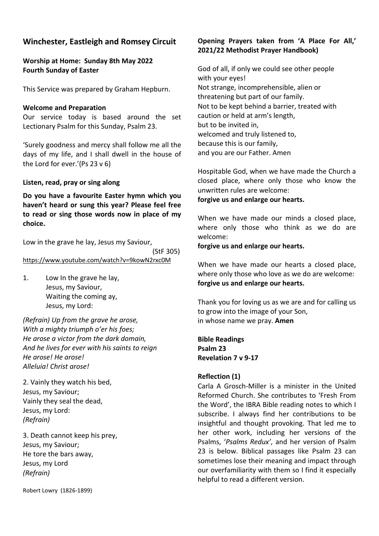# **Winchester, Eastleigh and Romsey Circuit**

# **Worship at Home: Sunday 8th May 2022 Fourth Sunday of Easter**

This Service was prepared by Graham Hepburn.

#### **Welcome and Preparation**

Our service today is based around the set Lectionary Psalm for this Sunday, Psalm 23.

'Surely goodness and mercy shall follow me all the days of my life, and I shall dwell in the house of the Lord for ever.'(Ps 23 v 6)

**Listen, read, pray or sing along**

**Do you have a favourite Easter hymn which you haven't heard or sung this year? Please feel free to read or sing those words now in place of my choice.**

Low in the grave he lay, Jesus my Saviour,

 (StF 305) <https://www.youtube.com/watch?v=9kowN2rxc0M>

1. Low In the grave he lay, Jesus, my Saviour, Waiting the coming ay, Jesus, my Lord:

*(Refrain) Up from the grave he arose, With a mighty triumph o'er his foes; He arose a victor from the dark domain, And he lives for ever with his saints to reign He arose! He arose! Alleluia! Christ arose!*

2. Vainly they watch his bed, Jesus, my Saviour; Vainly they seal the dead, Jesus, my Lord: *(Refrain)*

3. Death cannot keep his prey, Jesus, my Saviour; He tore the bars away, Jesus, my Lord *(Refrain)*

Robert Lowry (1826-1899)

# **Opening Prayers taken from 'A Place For All,' 2021/22 Methodist Prayer Handbook)**

God of all, if only we could see other people with your eyes! Not strange, incomprehensible, alien or threatening but part of our family. Not to be kept behind a barrier, treated with caution or held at arm's length, but to be invited in, welcomed and truly listened to, because this is our family, and you are our Father. Amen

Hospitable God, when we have made the Church a closed place, where only those who know the unwritten rules are welcome:

**forgive us and enlarge our hearts.**

When we have made our minds a closed place, where only those who think as we do are welcome:

**forgive us and enlarge our hearts.**

When we have made our hearts a closed place, where only those who love as we do are welcome: **forgive us and enlarge our hearts.**

Thank you for loving us as we are and for calling us to grow into the image of your Son, in whose name we pray. **Amen**

**Bible Readings Psalm 23 Revelation 7 v 9-17**

# **Reflection (1)**

Carla A Grosch-Miller is a minister in the United Reformed Church. She contributes to 'Fresh From the Word', the IBRA Bible reading notes to which I subscribe. I always find her contributions to be insightful and thought provoking. That led me to her other work, including her versions of the Psalms, '*Psalms Redux'*, and her version of Psalm 23 is below. Biblical passages like Psalm 23 can sometimes lose their meaning and impact through our overfamiliarity with them so I find it especially helpful to read a different version.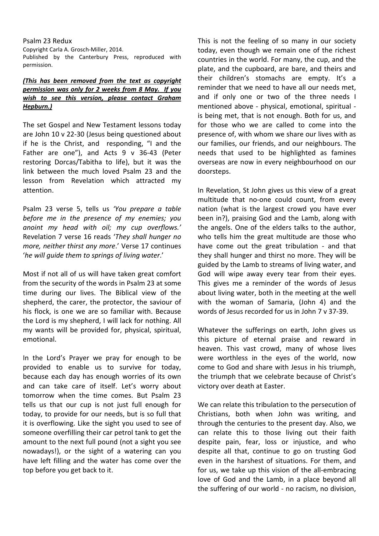Psalm 23 Redux Copyright Carla A. Grosch-Miller, 2014. Published by the Canterbury Press, reproduced with permission.

### *(This has been removed from the text as copyright permission was only for 2 weeks from 8 May. If you wish to see this version, please contact Graham Hepburn.)*

The set Gospel and New Testament lessons today are John 10 v 22-30 (Jesus being questioned about if he is the Christ, and responding, "I and the Father are one"), and Acts 9 v 36-43 (Peter restoring Dorcas/Tabitha to life), but it was the link between the much loved Psalm 23 and the lesson from Revelation which attracted my attention.

Psalm 23 verse 5, tells us *'You prepare a table before me in the presence of my enemies; you anoint my head with oil; my cup overflows.'* Revelation 7 verse 16 reads '*They shall hunger no more, neither thirst any more*.' Verse 17 continues '*he will guide them to springs of living water*.'

Most if not all of us will have taken great comfort from the security of the words in Psalm 23 at some time during our lives. The Biblical view of the shepherd, the carer, the protector, the saviour of his flock, is one we are so familiar with. Because the Lord is my shepherd, I will lack for nothing. All my wants will be provided for, physical, spiritual, emotional.

In the Lord's Prayer we pray for enough to be provided to enable us to survive for today, because each day has enough worries of its own and can take care of itself. Let's worry about tomorrow when the time comes. But Psalm 23 tells us that our cup is not just full enough for today, to provide for our needs, but is so full that it is overflowing. Like the sight you used to see of someone overfilling their car petrol tank to get the amount to the next full pound (not a sight you see nowadays!), or the sight of a watering can you have left filling and the water has come over the top before you get back to it.

This is not the feeling of so many in our society today, even though we remain one of the richest countries in the world. For many, the cup, and the plate, and the cupboard, are bare, and theirs and their children's stomachs are empty. It's a reminder that we need to have all our needs met, and if only one or two of the three needs I mentioned above - physical, emotional, spiritual is being met, that is not enough. Both for us, and for those who we are called to come into the presence of, with whom we share our lives with as our families, our friends, and our neighbours. The needs that used to be highlighted as famines overseas are now in every neighbourhood on our doorsteps.

In Revelation, St John gives us this view of a great multitude that no-one could count, from every nation (what is the largest crowd you have ever been in?), praising God and the Lamb, along with the angels. One of the elders talks to the author, who tells him the great multitude are those who have come out the great tribulation - and that they shall hunger and thirst no more. They will be guided by the Lamb to streams of living water, and God will wipe away every tear from their eyes. This gives me a reminder of the words of Jesus about living water, both in the meeting at the well with the woman of Samaria, (John 4) and the words of Jesus recorded for us in John 7 v 37-39.

Whatever the sufferings on earth, John gives us this picture of eternal praise and reward in heaven. This vast crowd, many of whose lives were worthless in the eyes of the world, now come to God and share with Jesus in his triumph, the triumph that we celebrate because of Christ's victory over death at Easter.

We can relate this tribulation to the persecution of Christians, both when John was writing, and through the centuries to the present day. Also, we can relate this to those living out their faith despite pain, fear, loss or injustice, and who despite all that, continue to go on trusting God even in the harshest of situations. For them, and for us, we take up this vision of the all-embracing love of God and the Lamb, in a place beyond all the suffering of our world - no racism, no division,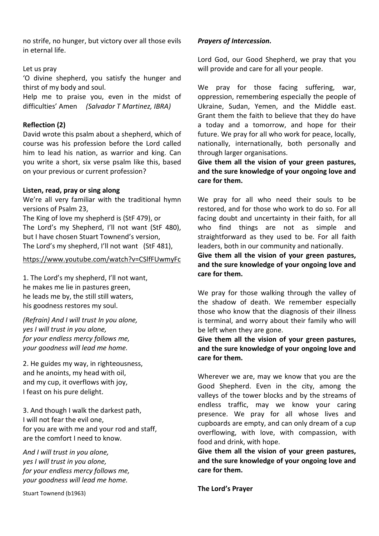no strife, no hunger, but victory over all those evils in eternal life.

### Let us pray

'O divine shepherd, you satisfy the hunger and thirst of my body and soul.

Help me to praise you, even in the midst of difficulties' Amen *(Salvador T Martinez, IBRA)*

# **Reflection (2)**

David wrote this psalm about a shepherd, which of course was his profession before the Lord called him to lead his nation, as warrior and king. Can you write a short, six verse psalm like this, based on your previous or current profession?

## **Listen, read, pray or sing along**

We're all very familiar with the traditional hymn versions of Psalm 23, The King of love my shepherd is (StF 479), or

The Lord's my Shepherd, I'll not want (StF 480), but I have chosen Stuart Townend's version, The Lord's my shepherd, I'll not want (StF 481),

### <https://www.youtube.com/watch?v=CSlfFUwmyFc>

1. The Lord's my shepherd, I'll not want, he makes me lie in pastures green, he leads me by, the still still waters, his goodness restores my soul.

*(Refrain) And I will trust In you alone, yes I will trust in you alone, for your endless mercy follows me, your goodness will lead me home.*

2. He guides my way, in righteousness, and he anoints, my head with oil, and my cup, it overflows with joy, I feast on his pure delight.

3. And though I walk the darkest path, I will not fear the evil one, for you are with me and your rod and staff, are the comfort I need to know.

*And I will trust in you alone, yes I will trust in you alone, for your endless mercy follows me, your goodness will lead me home.*

Stuart Townend (b1963)

## *Prayers of Intercession.*

Lord God, our Good Shepherd, we pray that you will provide and care for all your people.

We pray for those facing suffering, war, oppression, remembering especially the people of Ukraine, Sudan, Yemen, and the Middle east. Grant them the faith to believe that they do have a today and a tomorrow, and hope for their future. We pray for all who work for peace, locally, nationally, internationally, both personally and through larger organisations.

**Give them all the vision of your green pastures, and the sure knowledge of your ongoing love and care for them.**

We pray for all who need their souls to be restored, and for those who work to do so. For all facing doubt and uncertainty in their faith, for all who find things are not as simple and straightforward as they used to be. For all faith leaders, both in our community and nationally.

**Give them all the vision of your green pastures, and the sure knowledge of your ongoing love and care for them.**

We pray for those walking through the valley of the shadow of death. We remember especially those who know that the diagnosis of their illness is terminal, and worry about their family who will be left when they are gone.

**Give them all the vision of your green pastures, and the sure knowledge of your ongoing love and care for them.**

Wherever we are, may we know that you are the Good Shepherd. Even in the city, among the valleys of the tower blocks and by the streams of endless traffic, may we know your caring presence. We pray for all whose lives and cupboards are empty, and can only dream of a cup overflowing, with love, with compassion, with food and drink, with hope.

**Give them all the vision of your green pastures, and the sure knowledge of your ongoing love and care for them.**

**The Lord's Prayer**